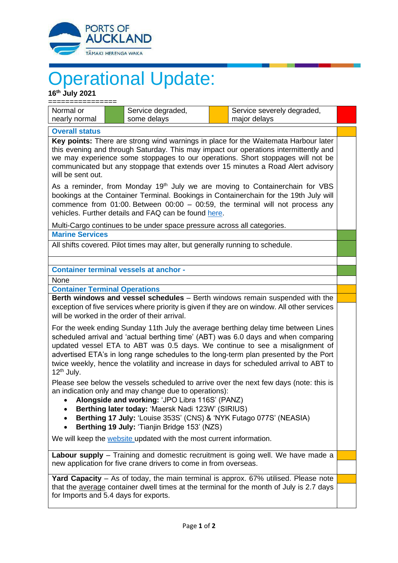

## Operational Update:

| 16th July 2021                                                                                                                                                                                                                                                                                                                                                                                                                                                        |                   |                            |  |  |
|-----------------------------------------------------------------------------------------------------------------------------------------------------------------------------------------------------------------------------------------------------------------------------------------------------------------------------------------------------------------------------------------------------------------------------------------------------------------------|-------------------|----------------------------|--|--|
| Normal or                                                                                                                                                                                                                                                                                                                                                                                                                                                             | Service degraded, | Service severely degraded, |  |  |
| nearly normal                                                                                                                                                                                                                                                                                                                                                                                                                                                         | some delays       | major delays               |  |  |
| <b>Overall status</b>                                                                                                                                                                                                                                                                                                                                                                                                                                                 |                   |                            |  |  |
| Key points: There are strong wind warnings in place for the Waitemata Harbour later<br>this evening and through Saturday. This may impact our operations intermittently and<br>we may experience some stoppages to our operations. Short stoppages will not be<br>communicated but any stoppage that extends over 15 minutes a Road Alert advisory<br>will be sent out.                                                                                               |                   |                            |  |  |
| As a reminder, from Monday 19 <sup>th</sup> July we are moving to Containerchain for VBS<br>bookings at the Container Terminal. Bookings in Containerchain for the 19th July will<br>commence from 01:00. Between $00:00 - 00:59$ , the terminal will not process any<br>vehicles. Further details and FAQ can be found here.                                                                                                                                         |                   |                            |  |  |
| Multi-Cargo continues to be under space pressure across all categories.<br><b>Marine Services</b>                                                                                                                                                                                                                                                                                                                                                                     |                   |                            |  |  |
| All shifts covered. Pilot times may alter, but generally running to schedule.                                                                                                                                                                                                                                                                                                                                                                                         |                   |                            |  |  |
| <b>Container terminal vessels at anchor -</b>                                                                                                                                                                                                                                                                                                                                                                                                                         |                   |                            |  |  |
| None                                                                                                                                                                                                                                                                                                                                                                                                                                                                  |                   |                            |  |  |
| <b>Container Terminal Operations</b>                                                                                                                                                                                                                                                                                                                                                                                                                                  |                   |                            |  |  |
| Berth windows and vessel schedules - Berth windows remain suspended with the                                                                                                                                                                                                                                                                                                                                                                                          |                   |                            |  |  |
| exception of five services where priority is given if they are on window. All other services<br>will be worked in the order of their arrival.                                                                                                                                                                                                                                                                                                                         |                   |                            |  |  |
| For the week ending Sunday 11th July the average berthing delay time between Lines<br>scheduled arrival and 'actual berthing time' (ABT) was 6.0 days and when comparing<br>updated vessel ETA to ABT was 0.5 days. We continue to see a misalignment of<br>advertised ETA's in long range schedules to the long-term plan presented by the Port<br>twice weekly, hence the volatility and increase in days for scheduled arrival to ABT to<br>12 <sup>th</sup> July. |                   |                            |  |  |
| Please see below the vessels scheduled to arrive over the next few days (note: this is<br>an indication only and may change due to operations):<br>Alongside and working: 'JPO Libra 116S' (PANZ)<br>Berthing later today: 'Maersk Nadi 123W' (SIRIUS)<br>Berthing 17 July: 'Louise 353S' (CNS) & 'NYK Futago 077S' (NEASIA)<br>Berthing 19 July: 'Tianjin Bridge 153' (NZS)<br>$\bullet$                                                                             |                   |                            |  |  |
| We will keep the website updated with the most current information.                                                                                                                                                                                                                                                                                                                                                                                                   |                   |                            |  |  |
| Labour supply – Training and domestic recruitment is going well. We have made a<br>new application for five crane drivers to come in from overseas.                                                                                                                                                                                                                                                                                                                   |                   |                            |  |  |
| Yard Capacity - As of today, the main terminal is approx. 67% utilised. Please note<br>that the average container dwell times at the terminal for the month of July is 2.7 days<br>for Imports and 5.4 days for exports.                                                                                                                                                                                                                                              |                   |                            |  |  |